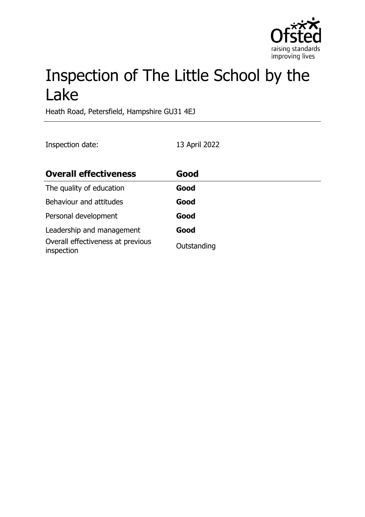

# Inspection of The Little School by the Lake

Heath Road, Petersfield, Hampshire GU31 4EJ

Inspection date: 13 April 2022

| <b>Overall effectiveness</b>                    | Good        |
|-------------------------------------------------|-------------|
| The quality of education                        | Good        |
| Behaviour and attitudes                         | Good        |
| Personal development                            | Good        |
| Leadership and management                       | Good        |
| Overall effectiveness at previous<br>inspection | Outstanding |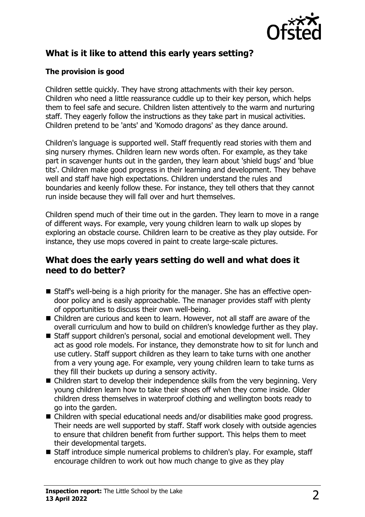

# **What is it like to attend this early years setting?**

#### **The provision is good**

Children settle quickly. They have strong attachments with their key person. Children who need a little reassurance cuddle up to their key person, which helps them to feel safe and secure. Children listen attentively to the warm and nurturing staff. They eagerly follow the instructions as they take part in musical activities. Children pretend to be 'ants' and 'Komodo dragons' as they dance around.

Children's language is supported well. Staff frequently read stories with them and sing nursery rhymes. Children learn new words often. For example, as they take part in scavenger hunts out in the garden, they learn about 'shield bugs' and 'blue tits'. Children make good progress in their learning and development. They behave well and staff have high expectations. Children understand the rules and boundaries and keenly follow these. For instance, they tell others that they cannot run inside because they will fall over and hurt themselves.

Children spend much of their time out in the garden. They learn to move in a range of different ways. For example, very young children learn to walk up slopes by exploring an obstacle course. Children learn to be creative as they play outside. For instance, they use mops covered in paint to create large-scale pictures.

#### **What does the early years setting do well and what does it need to do better?**

- Staff's well-being is a high priority for the manager. She has an effective opendoor policy and is easily approachable. The manager provides staff with plenty of opportunities to discuss their own well-being.
- Children are curious and keen to learn. However, not all staff are aware of the overall curriculum and how to build on children's knowledge further as they play.
- Staff support children's personal, social and emotional development well. They act as good role models. For instance, they demonstrate how to sit for lunch and use cutlery. Staff support children as they learn to take turns with one another from a very young age. For example, very young children learn to take turns as they fill their buckets up during a sensory activity.
- $\blacksquare$  Children start to develop their independence skills from the very beginning. Very young children learn how to take their shoes off when they come inside. Older children dress themselves in waterproof clothing and wellington boots ready to go into the garden.
- $\blacksquare$  Children with special educational needs and/or disabilities make good progress. Their needs are well supported by staff. Staff work closely with outside agencies to ensure that children benefit from further support. This helps them to meet their developmental targets.
- Staff introduce simple numerical problems to children's play. For example, staff encourage children to work out how much change to give as they play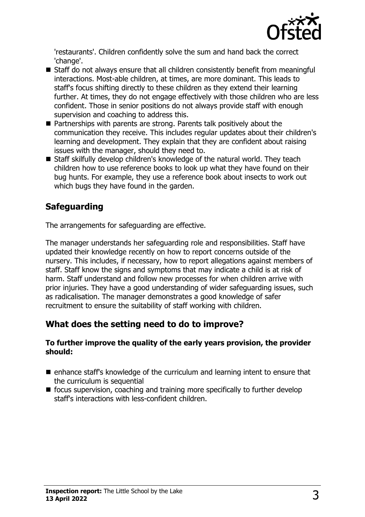

'restaurants'. Children confidently solve the sum and hand back the correct 'change'.

- $\blacksquare$  Staff do not always ensure that all children consistently benefit from meaningful interactions. Most-able children, at times, are more dominant. This leads to staff's focus shifting directly to these children as they extend their learning further. At times, they do not engage effectively with those children who are less confident. Those in senior positions do not always provide staff with enough supervision and coaching to address this.
- $\blacksquare$  Partnerships with parents are strong. Parents talk positively about the communication they receive. This includes regular updates about their children's learning and development. They explain that they are confident about raising issues with the manager, should they need to.
- Staff skilfully develop children's knowledge of the natural world. They teach children how to use reference books to look up what they have found on their bug hunts. For example, they use a reference book about insects to work out which bugs they have found in the garden.

# **Safeguarding**

The arrangements for safeguarding are effective.

The manager understands her safeguarding role and responsibilities. Staff have updated their knowledge recently on how to report concerns outside of the nursery. This includes, if necessary, how to report allegations against members of staff. Staff know the signs and symptoms that may indicate a child is at risk of harm. Staff understand and follow new processes for when children arrive with prior injuries. They have a good understanding of wider safeguarding issues, such as radicalisation. The manager demonstrates a good knowledge of safer recruitment to ensure the suitability of staff working with children.

## **What does the setting need to do to improve?**

#### **To further improve the quality of the early years provision, the provider should:**

- $\blacksquare$  enhance staff's knowledge of the curriculum and learning intent to ensure that the curriculum is sequential
- $\blacksquare$  focus supervision, coaching and training more specifically to further develop staff's interactions with less-confident children.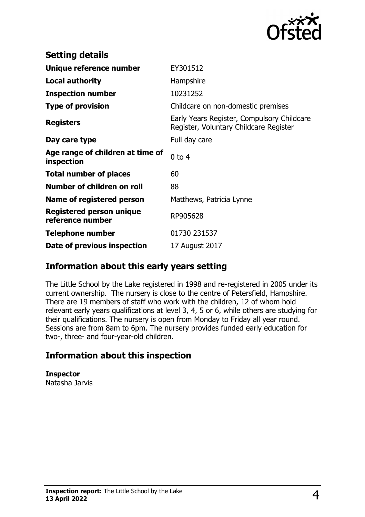

| <b>Setting details</b>                              |                                                                                      |
|-----------------------------------------------------|--------------------------------------------------------------------------------------|
| Unique reference number                             | EY301512                                                                             |
| <b>Local authority</b>                              | Hampshire                                                                            |
| <b>Inspection number</b>                            | 10231252                                                                             |
| <b>Type of provision</b>                            | Childcare on non-domestic premises                                                   |
| <b>Registers</b>                                    | Early Years Register, Compulsory Childcare<br>Register, Voluntary Childcare Register |
| Day care type                                       | Full day care                                                                        |
| Age range of children at time of<br>inspection      | $0$ to 4                                                                             |
| <b>Total number of places</b>                       | 60                                                                                   |
| Number of children on roll                          | 88                                                                                   |
| Name of registered person                           | Matthews, Patricia Lynne                                                             |
| <b>Registered person unique</b><br>reference number | RP905628                                                                             |
| <b>Telephone number</b>                             | 01730 231537                                                                         |
| Date of previous inspection                         | 17 August 2017                                                                       |

### **Information about this early years setting**

The Little School by the Lake registered in 1998 and re-registered in 2005 under its current ownership. The nursery is close to the centre of Petersfield, Hampshire. There are 19 members of staff who work with the children, 12 of whom hold relevant early years qualifications at level 3, 4, 5 or 6, while others are studying for their qualifications. The nursery is open from Monday to Friday all year round. Sessions are from 8am to 6pm. The nursery provides funded early education for two-, three- and four-year-old children.

### **Information about this inspection**

**Inspector** Natasha Jarvis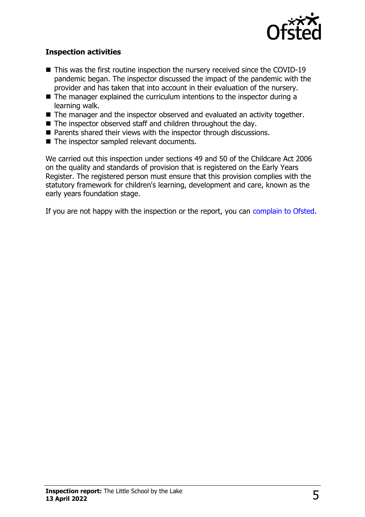

#### **Inspection activities**

- $\blacksquare$  This was the first routine inspection the nursery received since the COVID-19 pandemic began. The inspector discussed the impact of the pandemic with the provider and has taken that into account in their evaluation of the nursery.
- $\blacksquare$  The manager explained the curriculum intentions to the inspector during a learning walk.
- $\blacksquare$  The manager and the inspector observed and evaluated an activity together.
- $\blacksquare$  The inspector observed staff and children throughout the day.
- Parents shared their views with the inspector through discussions.
- $\blacksquare$  The inspector sampled relevant documents.

We carried out this inspection under sections 49 and 50 of the Childcare Act 2006 on the quality and standards of provision that is registered on the Early Years Register. The registered person must ensure that this provision complies with the statutory framework for children's learning, development and care, known as the early years foundation stage.

If you are not happy with the inspection or the report, you can [complain to Ofsted](http://www.gov.uk/complain-ofsted-report).